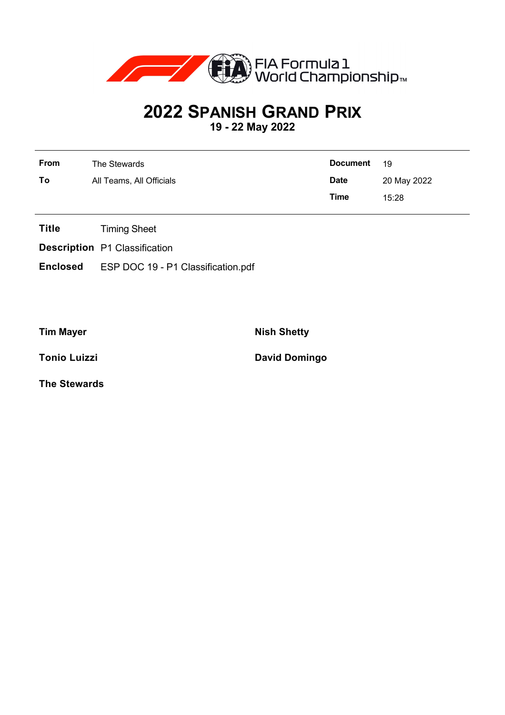

## **2022 SPANISH GRAND PRIX**

**19 - 22 May 2022**

| <b>From</b> | The Stewards             | <b>Document</b> | 19          |
|-------------|--------------------------|-----------------|-------------|
| To          | All Teams, All Officials | <b>Date</b>     | 20 May 2022 |
|             |                          | Time            | 15:28       |

- **Title** Timing Sheet
- **Description** P1 Classification
- **Enclosed** ESP DOC 19 P1 Classification.pdf

**Tim Mayer Nish Shetty** 

**Tonio Luizzi David Domingo** 

**The Stewards**